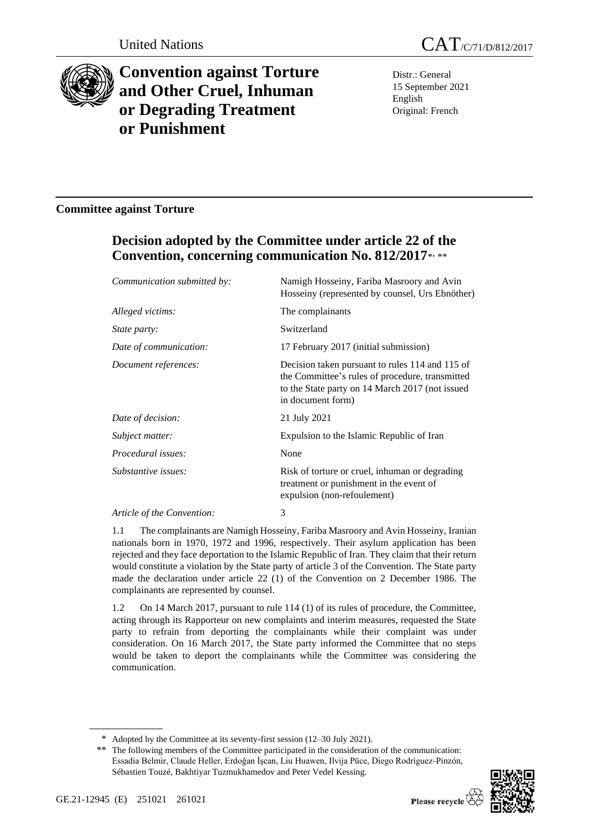

# **Convention against Torture and Other Cruel, Inhuman or Degrading Treatment or Punishment**

Distr.: General 15 September 2021 English Original: French

### **Committee against Torture**

## **Decision adopted by the Committee under article 22 of the Convention, concerning communication No. 812/2017**\* , \*\*

| Communication submitted by: | Namigh Hosseiny, Fariba Masroory and Avin<br>Hosseiny (represented by counsel, Urs Ebnöther)                                                                               |
|-----------------------------|----------------------------------------------------------------------------------------------------------------------------------------------------------------------------|
| Alleged victims:            | The complainants                                                                                                                                                           |
| <i>State party:</i>         | Switzerland                                                                                                                                                                |
| Date of communication:      | 17 February 2017 (initial submission)                                                                                                                                      |
| Document references:        | Decision taken pursuant to rules 114 and 115 of<br>the Committee's rules of procedure, transmitted<br>to the State party on 14 March 2017 (not issued<br>in document form) |
| Date of decision:           | 21 July 2021                                                                                                                                                               |
| Subject matter:             | Expulsion to the Islamic Republic of Iran                                                                                                                                  |
| Procedural issues:          | None                                                                                                                                                                       |
| Substantive issues:         | Risk of torture or cruel, inhuman or degrading<br>treatment or punishment in the event of<br>expulsion (non-refoulement)                                                   |
| Article of the Convention:  | 3                                                                                                                                                                          |

1.1 The complainants are Namigh Hosseiny, Fariba Masroory and Avin Hosseiny, Iranian nationals born in 1970, 1972 and 1996, respectively. Their asylum application has been rejected and they face deportation to the Islamic Republic of Iran. They claim that their return would constitute a violation by the State party of article 3 of the Convention. The State party made the declaration under article 22 (1) of the Convention on 2 December 1986. The complainants are represented by counsel.

1.2 On 14 March 2017, pursuant to rule 114 (1) of its rules of procedure, the Committee, acting through its Rapporteur on new complaints and interim measures, requested the State party to refrain from deporting the complainants while their complaint was under consideration. On 16 March 2017, the State party informed the Committee that no steps would be taken to deport the complainants while the Committee was considering the communication.

<sup>\*\*</sup> The following members of the Committee participated in the consideration of the communication: Essadia Belmir, Claude Heller, Erdoğan İşcan, Liu Huawen, Ilvija Pūce, Diego Rodríguez-Pinzón, Sébastien Touzé, Bakhtiyar Tuzmukhamedov and Peter Vedel Kessing.



<sup>\*</sup> Adopted by the Committee at its seventy-first session (12–30 July 2021).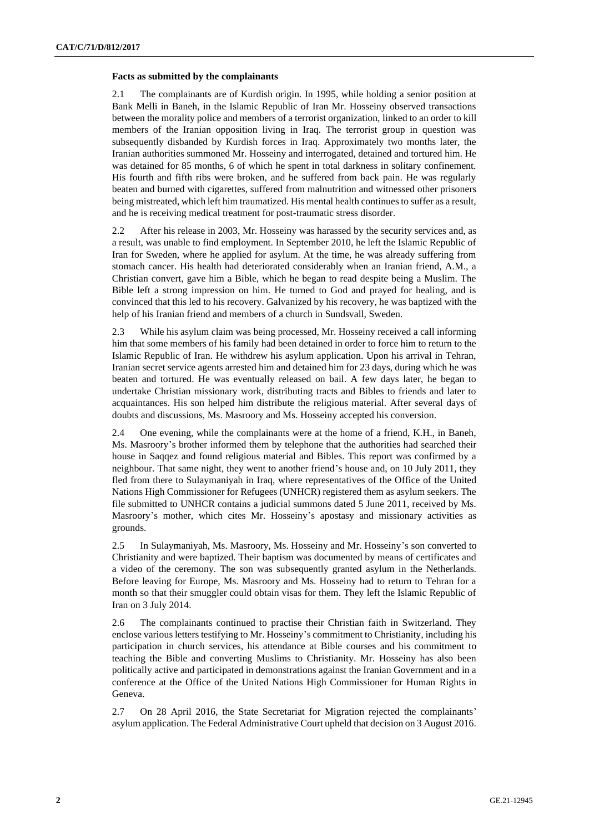#### **Facts as submitted by the complainants**

2.1 The complainants are of Kurdish origin. In 1995, while holding a senior position at Bank Melli in Baneh, in the Islamic Republic of Iran Mr. Hosseiny observed transactions between the morality police and members of a terrorist organization, linked to an order to kill members of the Iranian opposition living in Iraq. The terrorist group in question was subsequently disbanded by Kurdish forces in Iraq. Approximately two months later, the Iranian authorities summoned Mr. Hosseiny and interrogated, detained and tortured him. He was detained for 85 months, 6 of which he spent in total darkness in solitary confinement. His fourth and fifth ribs were broken, and he suffered from back pain. He was regularly beaten and burned with cigarettes, suffered from malnutrition and witnessed other prisoners being mistreated, which left him traumatized. His mental health continues to suffer as a result, and he is receiving medical treatment for post-traumatic stress disorder.

2.2 After his release in 2003, Mr. Hosseiny was harassed by the security services and, as a result, was unable to find employment. In September 2010, he left the Islamic Republic of Iran for Sweden, where he applied for asylum. At the time, he was already suffering from stomach cancer. His health had deteriorated considerably when an Iranian friend, A.M., a Christian convert, gave him a Bible, which he began to read despite being a Muslim. The Bible left a strong impression on him. He turned to God and prayed for healing, and is convinced that this led to his recovery. Galvanized by his recovery, he was baptized with the help of his Iranian friend and members of a church in Sundsvall, Sweden.

2.3 While his asylum claim was being processed, Mr. Hosseiny received a call informing him that some members of his family had been detained in order to force him to return to the Islamic Republic of Iran. He withdrew his asylum application. Upon his arrival in Tehran, Iranian secret service agents arrested him and detained him for 23 days, during which he was beaten and tortured. He was eventually released on bail. A few days later, he began to undertake Christian missionary work, distributing tracts and Bibles to friends and later to acquaintances. His son helped him distribute the religious material. After several days of doubts and discussions, Ms. Masroory and Ms. Hosseiny accepted his conversion.

2.4 One evening, while the complainants were at the home of a friend, K.H., in Baneh, Ms. Masroory's brother informed them by telephone that the authorities had searched their house in Saqqez and found religious material and Bibles. This report was confirmed by a neighbour. That same night, they went to another friend's house and, on 10 July 2011, they fled from there to Sulaymaniyah in Iraq, where representatives of the Office of the United Nations High Commissioner for Refugees (UNHCR) registered them as asylum seekers. The file submitted to UNHCR contains a judicial summons dated 5 June 2011, received by Ms. Masroory's mother, which cites Mr. Hosseiny's apostasy and missionary activities as grounds.

2.5 In Sulaymaniyah, Ms. Masroory, Ms. Hosseiny and Mr. Hosseiny's son converted to Christianity and were baptized. Their baptism was documented by means of certificates and a video of the ceremony. The son was subsequently granted asylum in the Netherlands. Before leaving for Europe, Ms. Masroory and Ms. Hosseiny had to return to Tehran for a month so that their smuggler could obtain visas for them. They left the Islamic Republic of Iran on 3 July 2014.

2.6 The complainants continued to practise their Christian faith in Switzerland. They enclose various letters testifying to Mr. Hosseiny's commitment to Christianity, including his participation in church services, his attendance at Bible courses and his commitment to teaching the Bible and converting Muslims to Christianity. Mr. Hosseiny has also been politically active and participated in demonstrations against the Iranian Government and in a conference at the Office of the United Nations High Commissioner for Human Rights in Geneva.

2.7 On 28 April 2016, the State Secretariat for Migration rejected the complainants' asylum application. The Federal Administrative Court upheld that decision on 3 August 2016.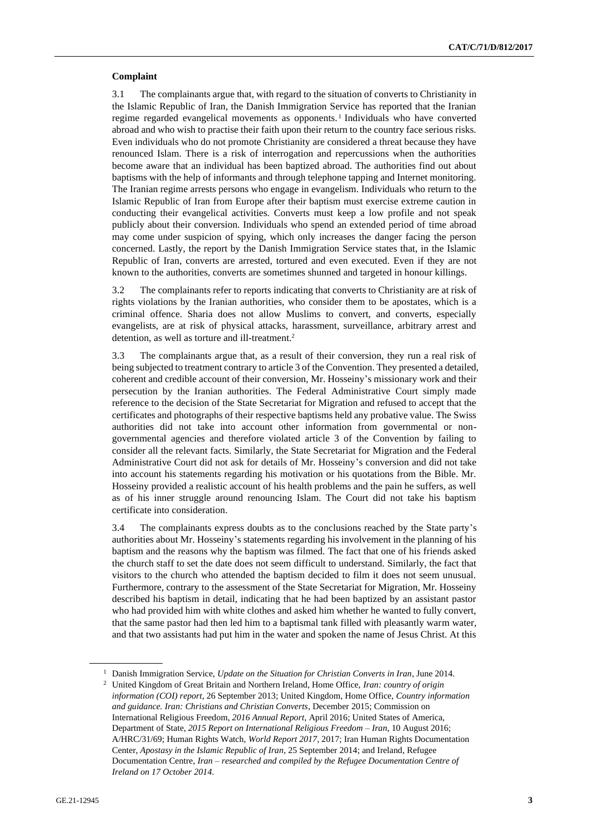#### **Complaint**

3.1 The complainants argue that, with regard to the situation of converts to Christianity in the Islamic Republic of Iran, the Danish Immigration Service has reported that the Iranian regime regarded evangelical movements as opponents.<sup>1</sup> Individuals who have converted abroad and who wish to practise their faith upon their return to the country face serious risks. Even individuals who do not promote Christianity are considered a threat because they have renounced Islam. There is a risk of interrogation and repercussions when the authorities become aware that an individual has been baptized abroad. The authorities find out about baptisms with the help of informants and through telephone tapping and Internet monitoring. The Iranian regime arrests persons who engage in evangelism. Individuals who return to the Islamic Republic of Iran from Europe after their baptism must exercise extreme caution in conducting their evangelical activities. Converts must keep a low profile and not speak publicly about their conversion. Individuals who spend an extended period of time abroad may come under suspicion of spying, which only increases the danger facing the person concerned. Lastly, the report by the Danish Immigration Service states that, in the Islamic Republic of Iran, converts are arrested, tortured and even executed. Even if they are not known to the authorities, converts are sometimes shunned and targeted in honour killings.

3.2 The complainants refer to reports indicating that converts to Christianity are at risk of rights violations by the Iranian authorities, who consider them to be apostates, which is a criminal offence. Sharia does not allow Muslims to convert, and converts, especially evangelists, are at risk of physical attacks, harassment, surveillance, arbitrary arrest and detention, as well as torture and ill-treatment.<sup>2</sup>

3.3 The complainants argue that, as a result of their conversion, they run a real risk of being subjected to treatment contrary to article 3 of the Convention. They presented a detailed, coherent and credible account of their conversion, Mr. Hosseiny's missionary work and their persecution by the Iranian authorities. The Federal Administrative Court simply made reference to the decision of the State Secretariat for Migration and refused to accept that the certificates and photographs of their respective baptisms held any probative value. The Swiss authorities did not take into account other information from governmental or nongovernmental agencies and therefore violated article 3 of the Convention by failing to consider all the relevant facts. Similarly, the State Secretariat for Migration and the Federal Administrative Court did not ask for details of Mr. Hosseiny's conversion and did not take into account his statements regarding his motivation or his quotations from the Bible. Mr. Hosseiny provided a realistic account of his health problems and the pain he suffers, as well as of his inner struggle around renouncing Islam. The Court did not take his baptism certificate into consideration.

3.4 The complainants express doubts as to the conclusions reached by the State party's authorities about Mr. Hosseiny's statements regarding his involvement in the planning of his baptism and the reasons why the baptism was filmed. The fact that one of his friends asked the church staff to set the date does not seem difficult to understand. Similarly, the fact that visitors to the church who attended the baptism decided to film it does not seem unusual. Furthermore, contrary to the assessment of the State Secretariat for Migration, Mr. Hosseiny described his baptism in detail, indicating that he had been baptized by an assistant pastor who had provided him with white clothes and asked him whether he wanted to fully convert, that the same pastor had then led him to a baptismal tank filled with pleasantly warm water, and that two assistants had put him in the water and spoken the name of Jesus Christ. At this

<sup>1</sup> Danish Immigration Service, *Update on the Situation for Christian Converts in Iran*, June 2014. <sup>2</sup> United Kingdom of Great Britain and Northern Ireland, Home Office, *Iran: country of origin information (COI) report*, 26 September 2013; United Kingdom, Home Office, *Country information and guidance. Iran: Christians and Christian Converts*, December 2015; Commission on International Religious Freedom, *2016 Annual Report*, April 2016; United States of America, Department of State, *2015 Report on International Religious Freedom – Iran*, 10 August 2016;

A/HRC/31/69; Human Rights Watch, *World Report 2017*, 2017; Iran Human Rights Documentation Center, *Apostasy in the Islamic Republic of Iran*, 25 September 2014; and Ireland, Refugee Documentation Centre, *Iran – researched and compiled by the Refugee Documentation Centre of Ireland on 17 October 2014*.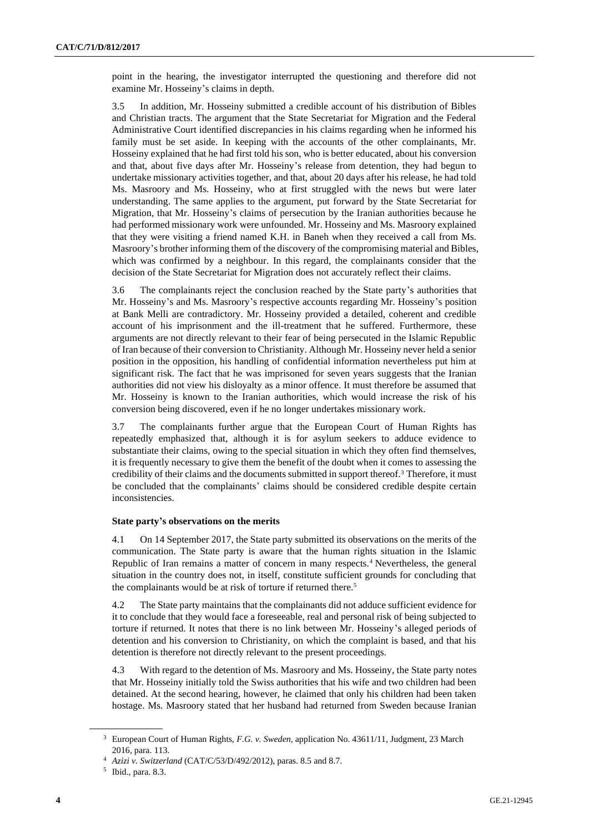point in the hearing, the investigator interrupted the questioning and therefore did not examine Mr. Hosseiny's claims in depth.

3.5 In addition, Mr. Hosseiny submitted a credible account of his distribution of Bibles and Christian tracts. The argument that the State Secretariat for Migration and the Federal Administrative Court identified discrepancies in his claims regarding when he informed his family must be set aside. In keeping with the accounts of the other complainants, Mr. Hosseiny explained that he had first told his son, who is better educated, about his conversion and that, about five days after Mr. Hosseiny's release from detention, they had begun to undertake missionary activities together, and that, about 20 days after his release, he had told Ms. Masroory and Ms. Hosseiny, who at first struggled with the news but were later understanding. The same applies to the argument, put forward by the State Secretariat for Migration, that Mr. Hosseiny's claims of persecution by the Iranian authorities because he had performed missionary work were unfounded. Mr. Hosseiny and Ms. Masroory explained that they were visiting a friend named K.H. in Baneh when they received a call from Ms. Masroory's brother informing them of the discovery of the compromising material and Bibles, which was confirmed by a neighbour. In this regard, the complainants consider that the decision of the State Secretariat for Migration does not accurately reflect their claims.

3.6 The complainants reject the conclusion reached by the State party's authorities that Mr. Hosseiny's and Ms. Masroory's respective accounts regarding Mr. Hosseiny's position at Bank Melli are contradictory. Mr. Hosseiny provided a detailed, coherent and credible account of his imprisonment and the ill-treatment that he suffered. Furthermore, these arguments are not directly relevant to their fear of being persecuted in the Islamic Republic of Iran because of their conversion to Christianity. Although Mr. Hosseiny never held a senior position in the opposition, his handling of confidential information nevertheless put him at significant risk. The fact that he was imprisoned for seven years suggests that the Iranian authorities did not view his disloyalty as a minor offence. It must therefore be assumed that Mr. Hosseiny is known to the Iranian authorities, which would increase the risk of his conversion being discovered, even if he no longer undertakes missionary work.

3.7 The complainants further argue that the European Court of Human Rights has repeatedly emphasized that, although it is for asylum seekers to adduce evidence to substantiate their claims, owing to the special situation in which they often find themselves, it is frequently necessary to give them the benefit of the doubt when it comes to assessing the credibility of their claims and the documents submitted in support thereof.<sup>3</sup> Therefore, it must be concluded that the complainants' claims should be considered credible despite certain inconsistencies.

#### **State party's observations on the merits**

4.1 On 14 September 2017, the State party submitted its observations on the merits of the communication. The State party is aware that the human rights situation in the Islamic Republic of Iran remains a matter of concern in many respects.<sup>4</sup> Nevertheless, the general situation in the country does not, in itself, constitute sufficient grounds for concluding that the complainants would be at risk of torture if returned there.<sup>5</sup>

4.2 The State party maintains that the complainants did not adduce sufficient evidence for it to conclude that they would face a foreseeable, real and personal risk of being subjected to torture if returned. It notes that there is no link between Mr. Hosseiny's alleged periods of detention and his conversion to Christianity, on which the complaint is based, and that his detention is therefore not directly relevant to the present proceedings.

4.3 With regard to the detention of Ms. Masroory and Ms. Hosseiny, the State party notes that Mr. Hosseiny initially told the Swiss authorities that his wife and two children had been detained. At the second hearing, however, he claimed that only his children had been taken hostage. Ms. Masroory stated that her husband had returned from Sweden because Iranian

<sup>3</sup> European Court of Human Rights, *F.G. v. Sweden*, application No. 43611/11, Judgment, 23 March 2016, para. 113.

<sup>4</sup> *Azizi v. Switzerland* (CAT/C/53/D/492/2012), paras. 8.5 and 8.7.

<sup>5</sup> Ibid., para. 8.3.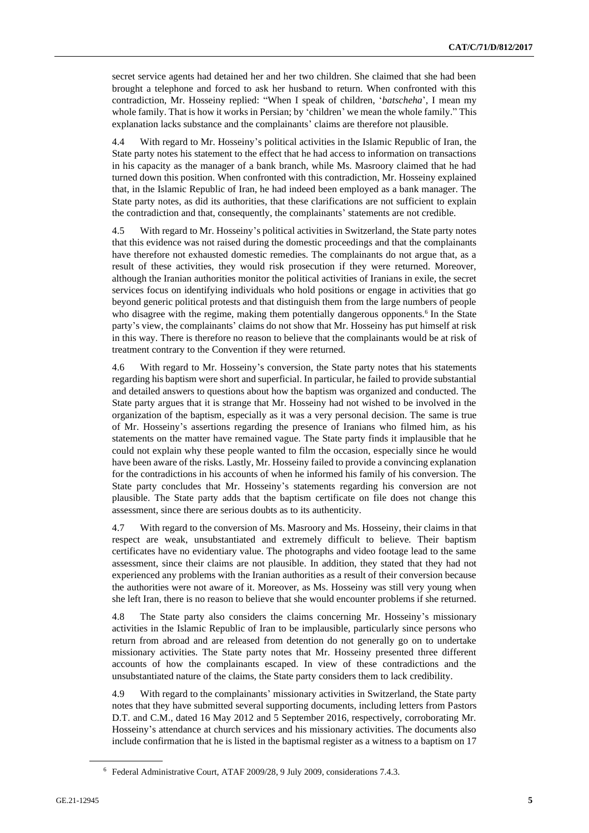secret service agents had detained her and her two children. She claimed that she had been brought a telephone and forced to ask her husband to return. When confronted with this contradiction, Mr. Hosseiny replied: "When I speak of children, '*batscheha*', I mean my whole family. That is how it works in Persian; by 'children' we mean the whole family." This explanation lacks substance and the complainants' claims are therefore not plausible.

4.4 With regard to Mr. Hosseiny's political activities in the Islamic Republic of Iran, the State party notes his statement to the effect that he had access to information on transactions in his capacity as the manager of a bank branch, while Ms. Masroory claimed that he had turned down this position. When confronted with this contradiction, Mr. Hosseiny explained that, in the Islamic Republic of Iran, he had indeed been employed as a bank manager. The State party notes, as did its authorities, that these clarifications are not sufficient to explain the contradiction and that, consequently, the complainants' statements are not credible.

4.5 With regard to Mr. Hosseiny's political activities in Switzerland, the State party notes that this evidence was not raised during the domestic proceedings and that the complainants have therefore not exhausted domestic remedies. The complainants do not argue that, as a result of these activities, they would risk prosecution if they were returned. Moreover, although the Iranian authorities monitor the political activities of Iranians in exile, the secret services focus on identifying individuals who hold positions or engage in activities that go beyond generic political protests and that distinguish them from the large numbers of people who disagree with the regime, making them potentially dangerous opponents.<sup>6</sup> In the State party's view, the complainants' claims do not show that Mr. Hosseiny has put himself at risk in this way. There is therefore no reason to believe that the complainants would be at risk of treatment contrary to the Convention if they were returned.

4.6 With regard to Mr. Hosseiny's conversion, the State party notes that his statements regarding his baptism were short and superficial. In particular, he failed to provide substantial and detailed answers to questions about how the baptism was organized and conducted. The State party argues that it is strange that Mr. Hosseiny had not wished to be involved in the organization of the baptism, especially as it was a very personal decision. The same is true of Mr. Hosseiny's assertions regarding the presence of Iranians who filmed him, as his statements on the matter have remained vague. The State party finds it implausible that he could not explain why these people wanted to film the occasion, especially since he would have been aware of the risks. Lastly, Mr. Hosseiny failed to provide a convincing explanation for the contradictions in his accounts of when he informed his family of his conversion. The State party concludes that Mr. Hosseiny's statements regarding his conversion are not plausible. The State party adds that the baptism certificate on file does not change this assessment, since there are serious doubts as to its authenticity.

4.7 With regard to the conversion of Ms. Masroory and Ms. Hosseiny, their claims in that respect are weak, unsubstantiated and extremely difficult to believe. Their baptism certificates have no evidentiary value. The photographs and video footage lead to the same assessment, since their claims are not plausible. In addition, they stated that they had not experienced any problems with the Iranian authorities as a result of their conversion because the authorities were not aware of it. Moreover, as Ms. Hosseiny was still very young when she left Iran, there is no reason to believe that she would encounter problems if she returned.

4.8 The State party also considers the claims concerning Mr. Hosseiny's missionary activities in the Islamic Republic of Iran to be implausible, particularly since persons who return from abroad and are released from detention do not generally go on to undertake missionary activities. The State party notes that Mr. Hosseiny presented three different accounts of how the complainants escaped. In view of these contradictions and the unsubstantiated nature of the claims, the State party considers them to lack credibility.

4.9 With regard to the complainants' missionary activities in Switzerland, the State party notes that they have submitted several supporting documents, including letters from Pastors D.T. and C.M., dated 16 May 2012 and 5 September 2016, respectively, corroborating Mr. Hosseiny's attendance at church services and his missionary activities. The documents also include confirmation that he is listed in the baptismal register as a witness to a baptism on 17

<sup>6</sup> Federal Administrative Court, ATAF 2009/28, 9 July 2009, considerations 7.4.3.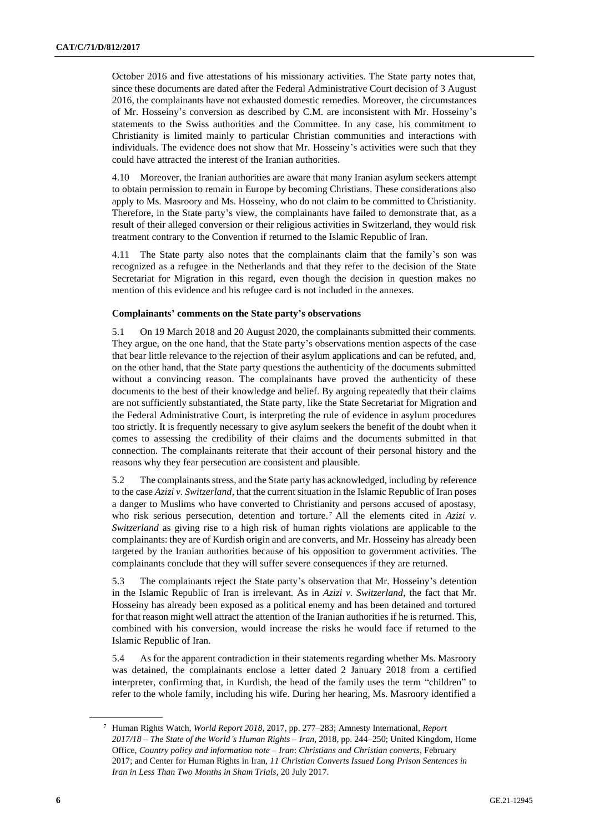October 2016 and five attestations of his missionary activities. The State party notes that, since these documents are dated after the Federal Administrative Court decision of 3 August 2016, the complainants have not exhausted domestic remedies. Moreover, the circumstances of Mr. Hosseiny's conversion as described by C.M. are inconsistent with Mr. Hosseiny's statements to the Swiss authorities and the Committee. In any case, his commitment to Christianity is limited mainly to particular Christian communities and interactions with individuals. The evidence does not show that Mr. Hosseiny's activities were such that they could have attracted the interest of the Iranian authorities.

4.10 Moreover, the Iranian authorities are aware that many Iranian asylum seekers attempt to obtain permission to remain in Europe by becoming Christians. These considerations also apply to Ms. Masroory and Ms. Hosseiny, who do not claim to be committed to Christianity. Therefore, in the State party's view, the complainants have failed to demonstrate that, as a result of their alleged conversion or their religious activities in Switzerland, they would risk treatment contrary to the Convention if returned to the Islamic Republic of Iran.

4.11 The State party also notes that the complainants claim that the family's son was recognized as a refugee in the Netherlands and that they refer to the decision of the State Secretariat for Migration in this regard, even though the decision in question makes no mention of this evidence and his refugee card is not included in the annexes.

#### **Complainants' comments on the State party's observations**

5.1 On 19 March 2018 and 20 August 2020, the complainants submitted their comments. They argue, on the one hand, that the State party's observations mention aspects of the case that bear little relevance to the rejection of their asylum applications and can be refuted, and, on the other hand, that the State party questions the authenticity of the documents submitted without a convincing reason. The complainants have proved the authenticity of these documents to the best of their knowledge and belief. By arguing repeatedly that their claims are not sufficiently substantiated, the State party, like the State Secretariat for Migration and the Federal Administrative Court, is interpreting the rule of evidence in asylum procedures too strictly. It is frequently necessary to give asylum seekers the benefit of the doubt when it comes to assessing the credibility of their claims and the documents submitted in that connection. The complainants reiterate that their account of their personal history and the reasons why they fear persecution are consistent and plausible.

5.2 The complainants stress, and the State party has acknowledged, including by reference to the case *Azizi v. Switzerland*, that the current situation in the Islamic Republic of Iran poses a danger to Muslims who have converted to Christianity and persons accused of apostasy, who risk serious persecution, detention and torture.<sup>7</sup> All the elements cited in  $Azizi$  v. *Switzerland* as giving rise to a high risk of human rights violations are applicable to the complainants: they are of Kurdish origin and are converts, and Mr. Hosseiny has already been targeted by the Iranian authorities because of his opposition to government activities. The complainants conclude that they will suffer severe consequences if they are returned.

5.3 The complainants reject the State party's observation that Mr. Hosseiny's detention in the Islamic Republic of Iran is irrelevant. As in *Azizi v. Switzerland*, the fact that Mr. Hosseiny has already been exposed as a political enemy and has been detained and tortured for that reason might well attract the attention of the Iranian authorities if he is returned. This, combined with his conversion, would increase the risks he would face if returned to the Islamic Republic of Iran.

5.4 As for the apparent contradiction in their statements regarding whether Ms. Masroory was detained, the complainants enclose a letter dated 2 January 2018 from a certified interpreter, confirming that, in Kurdish, the head of the family uses the term "children" to refer to the whole family, including his wife. During her hearing, Ms. Masroory identified a

<sup>7</sup> Human Rights Watch, *World Report 2018*, 2017, pp. 277–283; Amnesty International, *Report 2017/18 – The State of the World's Human Rights – Iran*, 2018, pp. 244–250; United Kingdom, Home Office, *Country policy and information note – Iran*: *Christians and Christian converts*, February 2017; and Center for Human Rights in Iran, *11 Christian Converts Issued Long Prison Sentences in Iran in Less Than Two Months in Sham Trials*, 20 July 2017.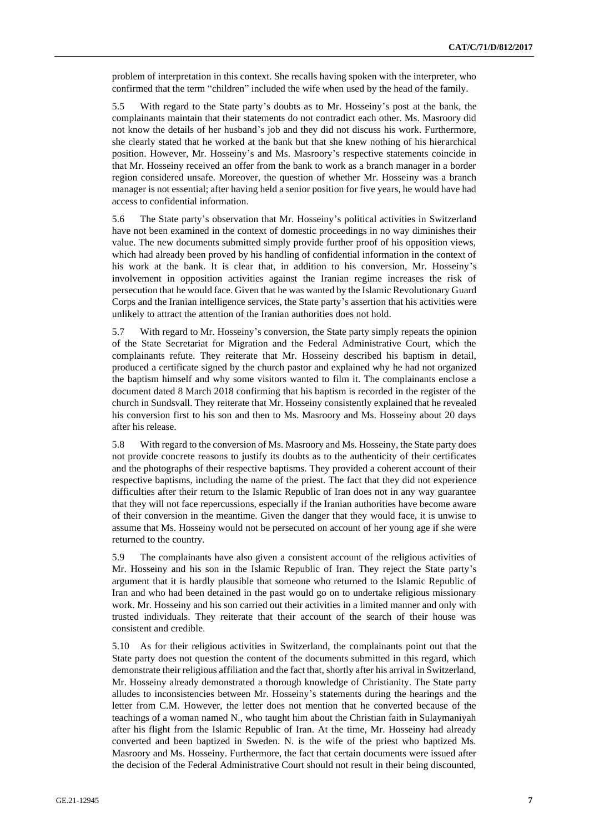problem of interpretation in this context. She recalls having spoken with the interpreter, who confirmed that the term "children" included the wife when used by the head of the family.

5.5 With regard to the State party's doubts as to Mr. Hosseiny's post at the bank, the complainants maintain that their statements do not contradict each other. Ms. Masroory did not know the details of her husband's job and they did not discuss his work. Furthermore, she clearly stated that he worked at the bank but that she knew nothing of his hierarchical position. However, Mr. Hosseiny's and Ms. Masroory's respective statements coincide in that Mr. Hosseiny received an offer from the bank to work as a branch manager in a border region considered unsafe. Moreover, the question of whether Mr. Hosseiny was a branch manager is not essential; after having held a senior position for five years, he would have had access to confidential information.

5.6 The State party's observation that Mr. Hosseiny's political activities in Switzerland have not been examined in the context of domestic proceedings in no way diminishes their value. The new documents submitted simply provide further proof of his opposition views, which had already been proved by his handling of confidential information in the context of his work at the bank. It is clear that, in addition to his conversion, Mr. Hosseiny's involvement in opposition activities against the Iranian regime increases the risk of persecution that he would face. Given that he was wanted by the Islamic Revolutionary Guard Corps and the Iranian intelligence services, the State party's assertion that his activities were unlikely to attract the attention of the Iranian authorities does not hold.

5.7 With regard to Mr. Hosseiny's conversion, the State party simply repeats the opinion of the State Secretariat for Migration and the Federal Administrative Court, which the complainants refute. They reiterate that Mr. Hosseiny described his baptism in detail, produced a certificate signed by the church pastor and explained why he had not organized the baptism himself and why some visitors wanted to film it. The complainants enclose a document dated 8 March 2018 confirming that his baptism is recorded in the register of the church in Sundsvall. They reiterate that Mr. Hosseiny consistently explained that he revealed his conversion first to his son and then to Ms. Masroory and Ms. Hosseiny about 20 days after his release.

5.8 With regard to the conversion of Ms. Masroory and Ms. Hosseiny, the State party does not provide concrete reasons to justify its doubts as to the authenticity of their certificates and the photographs of their respective baptisms. They provided a coherent account of their respective baptisms, including the name of the priest. The fact that they did not experience difficulties after their return to the Islamic Republic of Iran does not in any way guarantee that they will not face repercussions, especially if the Iranian authorities have become aware of their conversion in the meantime. Given the danger that they would face, it is unwise to assume that Ms. Hosseiny would not be persecuted on account of her young age if she were returned to the country.

5.9 The complainants have also given a consistent account of the religious activities of Mr. Hosseiny and his son in the Islamic Republic of Iran. They reject the State party's argument that it is hardly plausible that someone who returned to the Islamic Republic of Iran and who had been detained in the past would go on to undertake religious missionary work. Mr. Hosseiny and his son carried out their activities in a limited manner and only with trusted individuals. They reiterate that their account of the search of their house was consistent and credible.

5.10 As for their religious activities in Switzerland, the complainants point out that the State party does not question the content of the documents submitted in this regard, which demonstrate their religious affiliation and the fact that, shortly after his arrival in Switzerland, Mr. Hosseiny already demonstrated a thorough knowledge of Christianity. The State party alludes to inconsistencies between Mr. Hosseiny's statements during the hearings and the letter from C.M. However, the letter does not mention that he converted because of the teachings of a woman named N., who taught him about the Christian faith in Sulaymaniyah after his flight from the Islamic Republic of Iran. At the time, Mr. Hosseiny had already converted and been baptized in Sweden. N. is the wife of the priest who baptized Ms. Masroory and Ms. Hosseiny. Furthermore, the fact that certain documents were issued after the decision of the Federal Administrative Court should not result in their being discounted,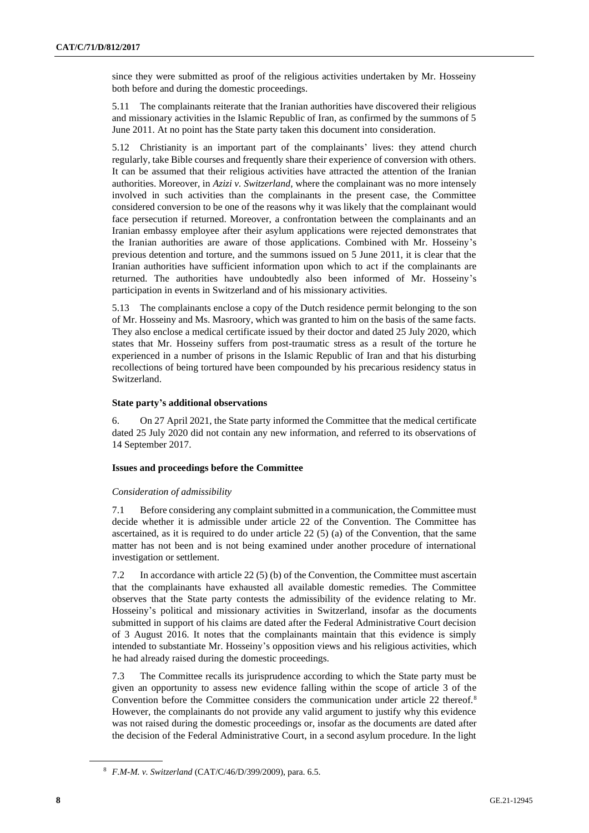since they were submitted as proof of the religious activities undertaken by Mr. Hosseiny both before and during the domestic proceedings.

5.11 The complainants reiterate that the Iranian authorities have discovered their religious and missionary activities in the Islamic Republic of Iran, as confirmed by the summons of 5 June 2011. At no point has the State party taken this document into consideration.

5.12 Christianity is an important part of the complainants' lives: they attend church regularly, take Bible courses and frequently share their experience of conversion with others. It can be assumed that their religious activities have attracted the attention of the Iranian authorities. Moreover, in *Azizi v. Switzerland*, where the complainant was no more intensely involved in such activities than the complainants in the present case, the Committee considered conversion to be one of the reasons why it was likely that the complainant would face persecution if returned. Moreover, a confrontation between the complainants and an Iranian embassy employee after their asylum applications were rejected demonstrates that the Iranian authorities are aware of those applications. Combined with Mr. Hosseiny's previous detention and torture, and the summons issued on 5 June 2011, it is clear that the Iranian authorities have sufficient information upon which to act if the complainants are returned. The authorities have undoubtedly also been informed of Mr. Hosseiny's participation in events in Switzerland and of his missionary activities.

5.13 The complainants enclose a copy of the Dutch residence permit belonging to the son of Mr. Hosseiny and Ms. Masroory, which was granted to him on the basis of the same facts. They also enclose a medical certificate issued by their doctor and dated 25 July 2020, which states that Mr. Hosseiny suffers from post-traumatic stress as a result of the torture he experienced in a number of prisons in the Islamic Republic of Iran and that his disturbing recollections of being tortured have been compounded by his precarious residency status in Switzerland.

#### **State party's additional observations**

6. On 27 April 2021, the State party informed the Committee that the medical certificate dated 25 July 2020 did not contain any new information, and referred to its observations of 14 September 2017.

#### **Issues and proceedings before the Committee**

#### *Consideration of admissibility*

7.1 Before considering any complaint submitted in a communication, the Committee must decide whether it is admissible under article 22 of the Convention. The Committee has ascertained, as it is required to do under article 22 (5) (a) of the Convention, that the same matter has not been and is not being examined under another procedure of international investigation or settlement.

7.2 In accordance with article 22 (5) (b) of the Convention, the Committee must ascertain that the complainants have exhausted all available domestic remedies. The Committee observes that the State party contests the admissibility of the evidence relating to Mr. Hosseiny's political and missionary activities in Switzerland, insofar as the documents submitted in support of his claims are dated after the Federal Administrative Court decision of 3 August 2016. It notes that the complainants maintain that this evidence is simply intended to substantiate Mr. Hosseiny's opposition views and his religious activities, which he had already raised during the domestic proceedings.

7.3 The Committee recalls its jurisprudence according to which the State party must be given an opportunity to assess new evidence falling within the scope of article 3 of the Convention before the Committee considers the communication under article 22 thereof.<sup>8</sup> However, the complainants do not provide any valid argument to justify why this evidence was not raised during the domestic proceedings or, insofar as the documents are dated after the decision of the Federal Administrative Court, in a second asylum procedure. In the light

<sup>8</sup> *F.M-M. v. Switzerland* (CAT/C/46/D/399/2009), para. 6.5.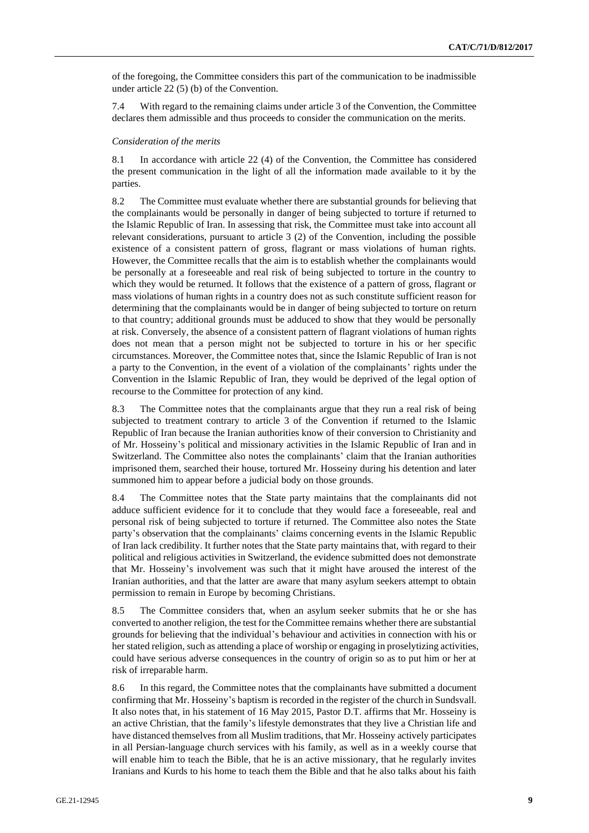of the foregoing, the Committee considers this part of the communication to be inadmissible under article 22 (5) (b) of the Convention.

7.4 With regard to the remaining claims under article 3 of the Convention, the Committee declares them admissible and thus proceeds to consider the communication on the merits.

#### *Consideration of the merits*

8.1 In accordance with article 22 (4) of the Convention, the Committee has considered the present communication in the light of all the information made available to it by the parties.

8.2 The Committee must evaluate whether there are substantial grounds for believing that the complainants would be personally in danger of being subjected to torture if returned to the Islamic Republic of Iran. In assessing that risk, the Committee must take into account all relevant considerations, pursuant to article 3 (2) of the Convention, including the possible existence of a consistent pattern of gross, flagrant or mass violations of human rights. However, the Committee recalls that the aim is to establish whether the complainants would be personally at a foreseeable and real risk of being subjected to torture in the country to which they would be returned. It follows that the existence of a pattern of gross, flagrant or mass violations of human rights in a country does not as such constitute sufficient reason for determining that the complainants would be in danger of being subjected to torture on return to that country; additional grounds must be adduced to show that they would be personally at risk. Conversely, the absence of a consistent pattern of flagrant violations of human rights does not mean that a person might not be subjected to torture in his or her specific circumstances. Moreover, the Committee notes that, since the Islamic Republic of Iran is not a party to the Convention, in the event of a violation of the complainants' rights under the Convention in the Islamic Republic of Iran, they would be deprived of the legal option of recourse to the Committee for protection of any kind.

8.3 The Committee notes that the complainants argue that they run a real risk of being subjected to treatment contrary to article 3 of the Convention if returned to the Islamic Republic of Iran because the Iranian authorities know of their conversion to Christianity and of Mr. Hosseiny's political and missionary activities in the Islamic Republic of Iran and in Switzerland. The Committee also notes the complainants' claim that the Iranian authorities imprisoned them, searched their house, tortured Mr. Hosseiny during his detention and later summoned him to appear before a judicial body on those grounds.

8.4 The Committee notes that the State party maintains that the complainants did not adduce sufficient evidence for it to conclude that they would face a foreseeable, real and personal risk of being subjected to torture if returned. The Committee also notes the State party's observation that the complainants' claims concerning events in the Islamic Republic of Iran lack credibility. It further notes that the State party maintains that, with regard to their political and religious activities in Switzerland, the evidence submitted does not demonstrate that Mr. Hosseiny's involvement was such that it might have aroused the interest of the Iranian authorities, and that the latter are aware that many asylum seekers attempt to obtain permission to remain in Europe by becoming Christians.

8.5 The Committee considers that, when an asylum seeker submits that he or she has converted to another religion, the test for the Committee remains whether there are substantial grounds for believing that the individual's behaviour and activities in connection with his or her stated religion, such as attending a place of worship or engaging in proselytizing activities, could have serious adverse consequences in the country of origin so as to put him or her at risk of irreparable harm.

8.6 In this regard, the Committee notes that the complainants have submitted a document confirming that Mr. Hosseiny's baptism is recorded in the register of the church in Sundsvall. It also notes that, in his statement of 16 May 2015, Pastor D.T. affirms that Mr. Hosseiny is an active Christian, that the family's lifestyle demonstrates that they live a Christian life and have distanced themselves from all Muslim traditions, that Mr. Hosseiny actively participates in all Persian-language church services with his family, as well as in a weekly course that will enable him to teach the Bible, that he is an active missionary, that he regularly invites Iranians and Kurds to his home to teach them the Bible and that he also talks about his faith